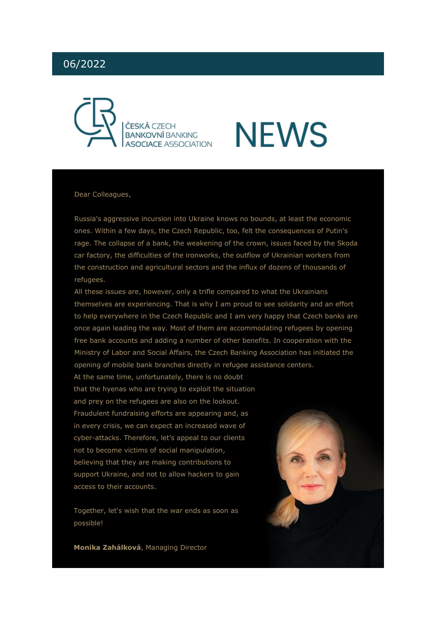# 06/2022



# **NEWS**

#### Dear Colleagues,

Russia's aggressive incursion into Ukraine knows no bounds, at least the economic ones. Within a few days, the Czech Republic, too, felt the consequences of Putin's rage. The collapse of a bank, the weakening of the crown, issues faced by the Skoda car factory, the difficulties of the ironworks, the outflow of Ukrainian workers from the construction and agricultural sectors and the influx of dozens of thousands of refugees.

All these issues are, however, only a trifle compared to what the Ukrainians themselves are experiencing. That is why I am proud to see solidarity and an effort to help everywhere in the Czech Republic and I am very happy that Czech banks are once again leading the way. Most of them are accommodating refugees by opening free bank accounts and adding a number of other benefits. In cooperation with the Ministry of Labor and Social Affairs, the Czech Banking Association has initiated the opening of mobile bank branches directly in refugee assistance centers.

At the same time, unfortunately, there is no doubt that the hyenas who are trying to exploit the situation and prey on the refugees are also on the lookout. Fraudulent fundraising efforts are appearing and, as in every crisis, we can expect an increased wave of cyber-attacks. Therefore, let's appeal to our clients not to become victims of social manipulation, believing that they are making contributions to support Ukraine, and not to allow hackers to gain access to their accounts.

Together, let's wish that the war ends as soon as possible!

**Monika Zahálková**, Managing Director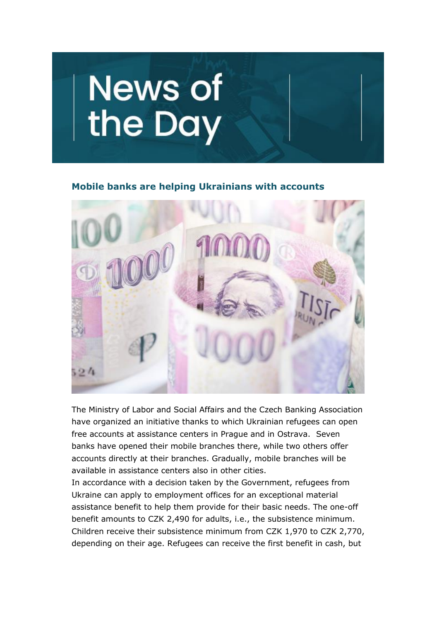

#### **Mobile banks are helping Ukrainians with accounts**



The Ministry of Labor and Social Affairs and the Czech Banking Association have organized an initiative thanks to which Ukrainian refugees can open free accounts at assistance centers in Prague and in Ostrava. Seven banks have opened their mobile branches there, while two others offer accounts directly at their branches. Gradually, mobile branches will be available in assistance centers also in other cities.

In accordance with a decision taken by the Government, refugees from Ukraine can apply to employment offices for an exceptional material assistance benefit to help them provide for their basic needs. The one-off benefit amounts to CZK 2,490 for adults, i.e., the subsistence minimum. Children receive their subsistence minimum from CZK 1,970 to CZK 2,770, depending on their age. Refugees can receive the first benefit in cash, but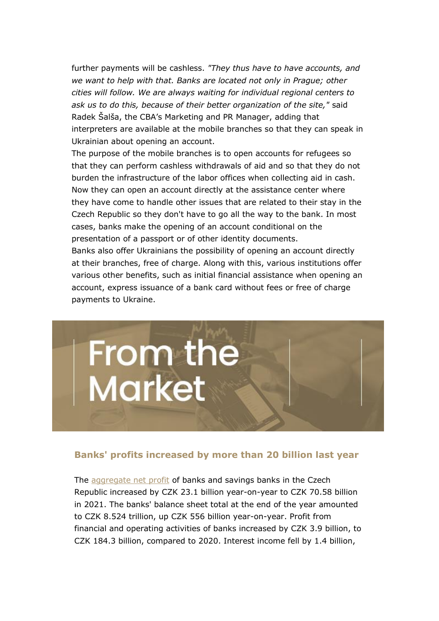further payments will be cashless. *"They thus have to have accounts, and we want to help with that. Banks are located not only in Prague; other cities will follow. We are always waiting for individual regional centers to ask us to do this, because of their better organization of the site,"* said Radek Šalša, the CBA's Marketing and PR Manager, adding that interpreters are available at the mobile branches so that they can speak in Ukrainian about opening an account.

The purpose of the mobile branches is to open accounts for refugees so that they can perform cashless withdrawals of aid and so that they do not burden the infrastructure of the labor offices when collecting aid in cash. Now they can open an account directly at the assistance center where they have come to handle other issues that are related to their stay in the Czech Republic so they don't have to go all the way to the bank. In most cases, banks make the opening of an account conditional on the presentation of a passport or of other identity documents.

Banks also offer Ukrainians the possibility of opening an account directly at their branches, free of charge. Along with this, various institutions offer various other benefits, such as initial financial assistance when opening an account, express issuance of a bank card without fees or free of charge payments to Ukraine.



### **Banks' profits increased by more than 20 billion last year**

The [aggregate net profit](https://www.cnb.cz/cnb/stat.arady_pkg.strom_drill?p_strid=BA&p_lang=CS) of banks and savings banks in the Czech Republic increased by CZK 23.1 billion year-on-year to CZK 70.58 billion in 2021. The banks' balance sheet total at the end of the year amounted to CZK 8.524 trillion, up CZK 556 billion year-on-year. Profit from financial and operating activities of banks increased by CZK 3.9 billion, to CZK 184.3 billion, compared to 2020. Interest income fell by 1.4 billion,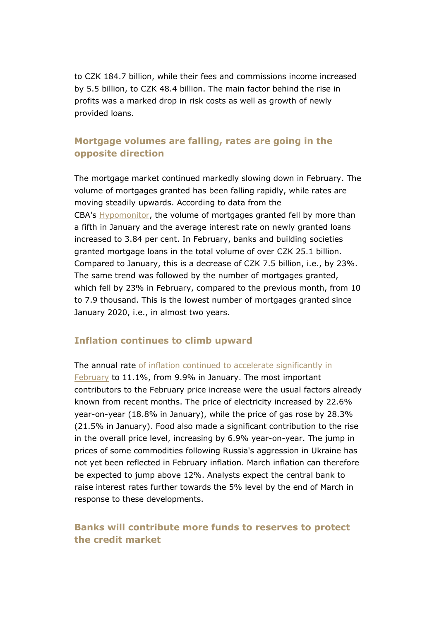to CZK 184.7 billion, while their fees and commissions income increased by 5.5 billion, to CZK 48.4 billion. The main factor behind the rise in profits was a marked drop in risk costs as well as growth of newly provided loans.

## **Mortgage volumes are falling, rates are going in the opposite direction**

The mortgage market continued markedly slowing down in February. The volume of mortgages granted has been falling rapidly, while rates are moving steadily upwards. According to data from the CBA's [Hypomonitor,](https://cbaonline.cz/cba-hypomonitor-unor-2022) the volume of mortgages granted fell by more than a fifth in January and the average interest rate on newly granted loans increased to 3.84 per cent. In February, banks and building societies granted mortgage loans in the total volume of over CZK 25.1 billion. Compared to January, this is a decrease of CZK 7.5 billion, i.e., by 23%. The same trend was followed by the number of mortgages granted, which fell by 23% in February, compared to the previous month, from 10 to 7.9 thousand. This is the lowest number of mortgages granted since January 2020, i.e., in almost two years.

## **Inflation continues to climb upward**

The annual rate of inflation continued to accelerate significantly in [February](https://cbaonline.cz/ekonomicky-komentar-cba-unorova-inflace-zrychlila-nad-ocekavani-z-99-na-111-yoy) to 11.1%, from 9.9% in January. The most important contributors to the February price increase were the usual factors already known from recent months. The price of electricity increased by 22.6% year-on-year (18.8% in January), while the price of gas rose by 28.3% (21.5% in January). Food also made a significant contribution to the rise in the overall price level, increasing by 6.9% year-on-year. The jump in prices of some commodities following Russia's aggression in Ukraine has not yet been reflected in February inflation. March inflation can therefore be expected to jump above 12%. Analysts expect the central bank to raise interest rates further towards the 5% level by the end of March in response to these developments.

## **Banks will contribute more funds to reserves to protect the credit market**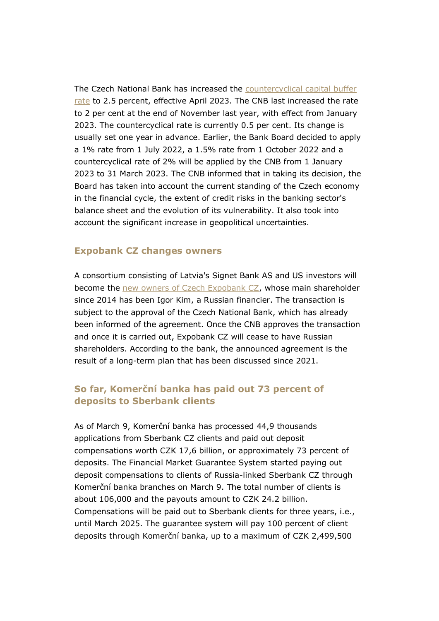The Czech National Bank has increased the [countercyclical capital buffer](https://www.cnb.cz/cs/cnb-news/tiskove-zpravy/CNB-zvysuje-sazbu-proticyklicke-kapitalove-rezervy-na-25-/)  [rate](https://www.cnb.cz/cs/cnb-news/tiskove-zpravy/CNB-zvysuje-sazbu-proticyklicke-kapitalove-rezervy-na-25-/) to 2.5 percent, effective April 2023. The CNB last increased the rate to 2 per cent at the end of November last year, with effect from January 2023. The countercyclical rate is currently 0.5 per cent. Its change is usually set one year in advance. Earlier, the Bank Board decided to apply a 1% rate from 1 July 2022, a 1.5% rate from 1 October 2022 and a countercyclical rate of 2% will be applied by the CNB from 1 January 2023 to 31 March 2023. The CNB informed that in taking its decision, the Board has taken into account the current standing of the Czech economy in the financial cycle, the extent of credit risks in the banking sector's balance sheet and the evolution of its vulnerability. It also took into account the significant increase in geopolitical uncertainties.

#### **Expobank CZ changes owners**

A consortium consisting of Latvia's Signet Bank AS and US investors will become the [new owners of Czech Expobank CZ,](https://www.expobank.cz/blog/expobank-cz-zmeni-majitele-novym-vlastnikem-se-stane-konsorcium-slozene-z-lotyss) whose main shareholder since 2014 has been Igor Kim, a Russian financier. The transaction is subject to the approval of the Czech National Bank, which has already been informed of the agreement. Once the CNB approves the transaction and once it is carried out, Expobank CZ will cease to have Russian shareholders. According to the bank, the announced agreement is the result of a long-term plan that has been discussed since 2021.

## **So far, Komerční banka has paid out 73 percent of deposits to Sberbank clients**

As of March 9, Komerční banka has processed 44,9 thousands applications from Sberbank CZ clients and paid out deposit compensations worth CZK 17,6 billion, or approximately 73 percent of deposits. The Financial Market Guarantee System started paying out deposit compensations to clients of Russia-linked Sberbank CZ through Komerční banka branches on March 9. The total number of clients is about 106,000 and the payouts amount to CZK 24.2 billion. Compensations will be paid out to Sberbank clients for three years, i.e., until March 2025. The guarantee system will pay 100 percent of client deposits through Komerční banka, up to a maximum of CZK 2,499,500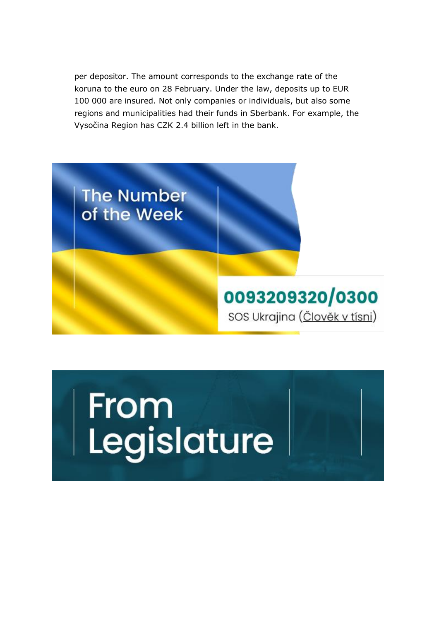per depositor. The amount corresponds to the exchange rate of the koruna to the euro on 28 February. Under the law, deposits up to EUR 100 000 are insured. Not only companies or individuals, but also some regions and municipalities had their funds in Sberbank. For example, the Vysočina Region has CZK 2.4 billion left in the bank.



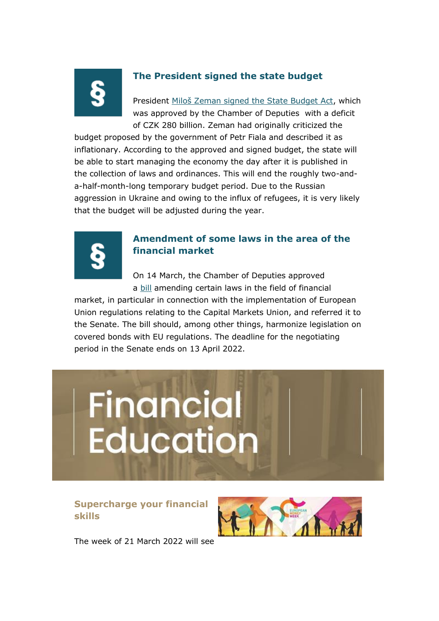

# **The President signed the state budget**

President [Miloš Zeman signed the State Budget Act](https://www.hrad.cz/cs/pro-media/tiskove-zpravy/aktualni-tiskove-zpravy/prezident-republiky-podepsal-zakon-o-statnim-rozpoctu-16335#from-list), which was approved by the Chamber of Deputies with a deficit of CZK 280 billion. Zeman had originally criticized the

budget proposed by the government of Petr Fiala and described it as inflationary. According to the approved and signed budget, the state will be able to start managing the economy the day after it is published in the collection of laws and ordinances. This will end the roughly two-anda-half-month-long temporary budget period. Due to the Russian aggression in Ukraine and owing to the influx of refugees, it is very likely that the budget will be adjusted during the year.



# **Amendment of some laws in the area of the financial market**

On 14 March, the Chamber of Deputies approved a [bill](https://www.senat.cz/xqw/webdav/pssenat/original/102937/86354) amending certain laws in the field of financial

market, in particular in connection with the implementation of European Union regulations relating to the Capital Markets Union, and referred it to the Senate. The bill should, among other things, harmonize legislation on covered bonds with EU regulations. The deadline for the negotiating period in the Senate ends on 13 April 2022.



# **Supercharge your financial skills**



The week of 21 March 2022 will see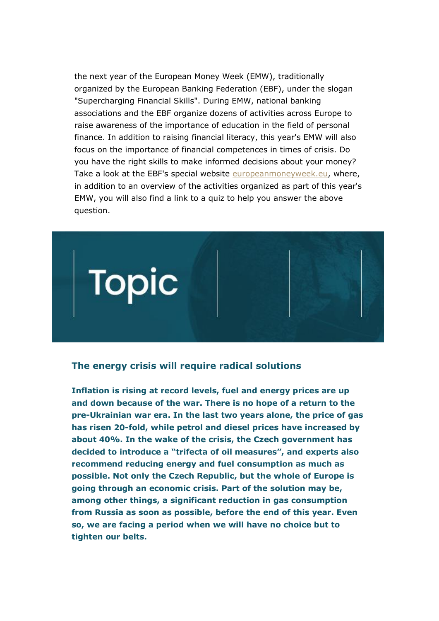the next year of the European Money Week (EMW), traditionally organized by the European Banking Federation (EBF), under the slogan "Supercharging Financial Skills". During EMW, national banking associations and the EBF organize dozens of activities across Europe to raise awareness of the importance of education in the field of personal finance. In addition to raising financial literacy, this year's EMW will also focus on the importance of financial competences in times of crisis. Do you have the right skills to make informed decisions about your money? Take a look at the EBF's special website [europeanmoneyweek.eu,](http://europeanmoneyweek.eu/) where, in addition to an overview of the activities organized as part of this year's EMW, you will also find a link to a quiz to help you answer the above question.



### **The energy crisis will require radical solutions**

**Inflation is rising at record levels, fuel and energy prices are up and down because of the war. There is no hope of a return to the pre-Ukrainian war era. In the last two years alone, the price of gas has risen 20-fold, while petrol and diesel prices have increased by about 40%. In the wake of the crisis, the Czech government has decided to introduce a "trifecta of oil measures", and experts also recommend reducing energy and fuel consumption as much as possible. Not only the Czech Republic, but the whole of Europe is going through an economic crisis. Part of the solution may be, among other things, a significant reduction in gas consumption from Russia as soon as possible, before the end of this year. Even so, we are facing a period when we will have no choice but to tighten our belts.**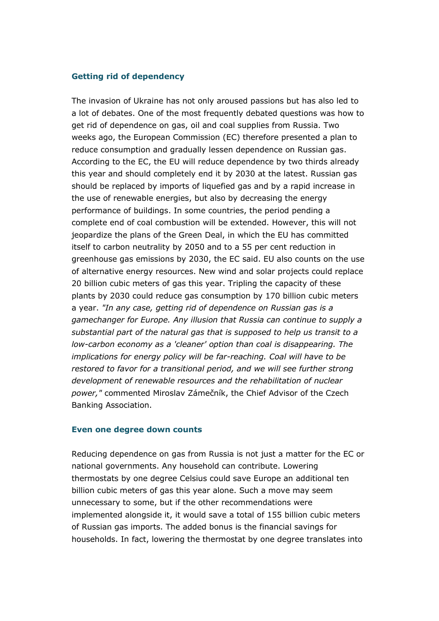#### **Getting rid of dependency**

The invasion of Ukraine has not only aroused passions but has also led to a lot of debates. One of the most frequently debated questions was how to get rid of dependence on gas, oil and coal supplies from Russia. Two weeks ago, the European Commission (EC) therefore presented a plan to reduce consumption and gradually lessen dependence on Russian gas. According to the EC, the EU will reduce dependence by two thirds already this year and should completely end it by 2030 at the latest. Russian gas should be replaced by imports of liquefied gas and by a rapid increase in the use of renewable energies, but also by decreasing the energy performance of buildings. In some countries, the period pending a complete end of coal combustion will be extended. However, this will not jeopardize the plans of the Green Deal, in which the EU has committed itself to carbon neutrality by 2050 and to a 55 per cent reduction in greenhouse gas emissions by 2030, the EC said. EU also counts on the use of alternative energy resources. New wind and solar projects could replace 20 billion cubic meters of gas this year. Tripling the capacity of these plants by 2030 could reduce gas consumption by 170 billion cubic meters a year. *"In any case, getting rid of dependence on Russian gas is a gamechanger for Europe. Any illusion that Russia can continue to supply a substantial part of the natural gas that is supposed to help us transit to a low-carbon economy as a 'cleaner' option than coal is disappearing. The implications for energy policy will be far-reaching. Coal will have to be restored to favor for a transitional period, and we will see further strong development of renewable resources and the rehabilitation of nuclear power,"* commented Miroslav Zámečník, the Chief Advisor of the Czech Banking Association.

#### **Even one degree down counts**

Reducing dependence on gas from Russia is not just a matter for the EC or national governments. Any household can contribute. Lowering thermostats by one degree Celsius could save Europe an additional ten billion cubic meters of gas this year alone. Such a move may seem unnecessary to some, but if the other recommendations were implemented alongside it, it would save a total of 155 billion cubic meters of Russian gas imports. The added bonus is the financial savings for households. In fact, lowering the thermostat by one degree translates into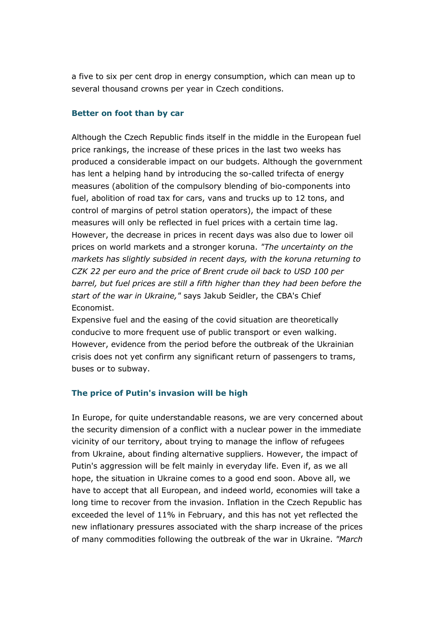a five to six per cent drop in energy consumption, which can mean up to several thousand crowns per year in Czech conditions.

#### **Better on foot than by car**

Although the Czech Republic finds itself in the middle in the European fuel price rankings, the increase of these prices in the last two weeks has produced a considerable impact on our budgets. Although the government has lent a helping hand by introducing the so-called trifecta of energy measures (abolition of the compulsory blending of bio-components into fuel, abolition of road tax for cars, vans and trucks up to 12 tons, and control of margins of petrol station operators), the impact of these measures will only be reflected in fuel prices with a certain time lag. However, the decrease in prices in recent days was also due to lower oil prices on world markets and a stronger koruna. *"The uncertainty on the markets has slightly subsided in recent days, with the koruna returning to CZK 22 per euro and the price of Brent crude oil back to USD 100 per barrel, but fuel prices are still a fifth higher than they had been before the start of the war in Ukraine,"* says Jakub Seidler, the CBA's Chief Economist.

Expensive fuel and the easing of the covid situation are theoretically conducive to more frequent use of public transport or even walking. However, evidence from the period before the outbreak of the Ukrainian crisis does not yet confirm any significant return of passengers to trams, buses or to subway.

#### **The price of Putin's invasion will be high**

In Europe, for quite understandable reasons, we are very concerned about the security dimension of a conflict with a nuclear power in the immediate vicinity of our territory, about trying to manage the inflow of refugees from Ukraine, about finding alternative suppliers. However, the impact of Putin's aggression will be felt mainly in everyday life. Even if, as we all hope, the situation in Ukraine comes to a good end soon. Above all, we have to accept that all European, and indeed world, economies will take a long time to recover from the invasion. Inflation in the Czech Republic has exceeded the level of 11% in February, and this has not yet reflected the new inflationary pressures associated with the sharp increase of the prices of many commodities following the outbreak of the war in Ukraine. *"March*